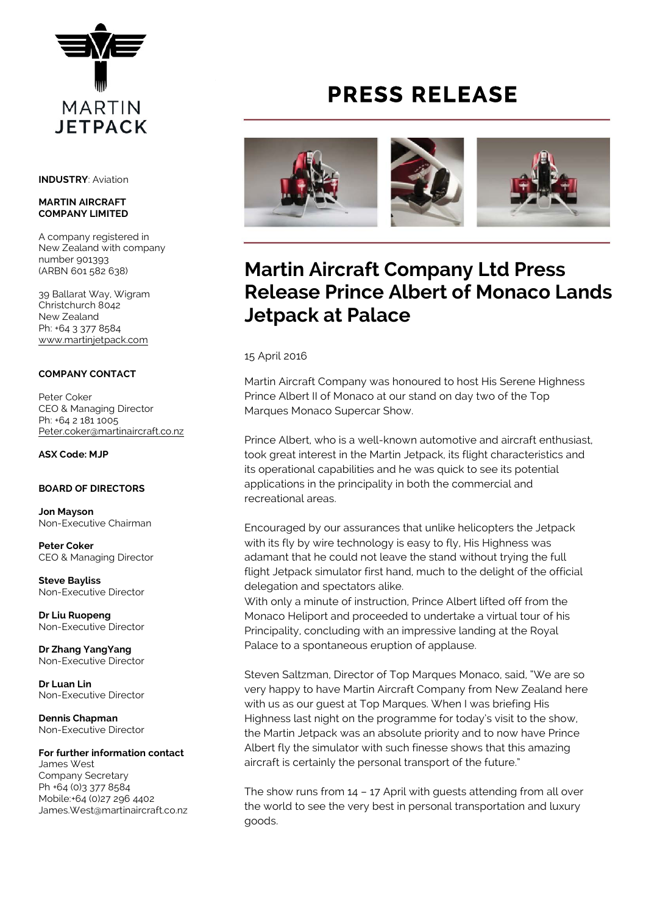

**INDUSTRY**: Aviation

#### **MARTIN AIRCRAFT COMPANY LIMITED**

A company registered in New Zealand with company number 901393 (ARBN 601 582 638)

39 Ballarat Way, Wigram Christchurch 8042 New Zealand Ph: +64 3 377 8584 [www.martinjetpack.com](http://www.martinjetpack.com)

### **COMPANY CONTACT**

Peter Coker CEO & Managing Director Ph: +64 2 181 1005 [Peter.coker@martinaircraft.co.nz](mailto:Peter.coker@martinaircraft.co.nz)

**ASX Code: MJP**

### **BOARD OF DIRECTORS**

**Jon Mayson**  Non-Executive Chairman

**Peter Coker**  CEO & Managing Director

**Steve Bayliss** Non-Executive Director

**Dr Liu Ruopeng**  Non-Executive Director

**Dr Zhang YangYang**  Non-Executive Director

**Dr Luan Lin** Non-Executive Director

**Dennis Chapman** Non-Executive Director

# **For further information contact**

James West Company Secretary Ph +64 (0)3 377 8584 Mobile:+64 (0)27 296 4402 James.West@martinaircraft.co.nz

# **PRESS RELEASE**



# **Martin Aircraft Company Ltd Press Release Prince Albert of Monaco Lands Jetpack at Palace**

15 April 2016

Martin Aircraft Company was honoured to host His Serene Highness Prince Albert II of Monaco at our stand on day two of the Top Marques Monaco Supercar Show.

Prince Albert, who is a well-known automotive and aircraft enthusiast, took great interest in the Martin Jetpack, its flight characteristics and its operational capabilities and he was quick to see its potential applications in the principality in both the commercial and recreational areas.

Encouraged by our assurances that unlike helicopters the Jetpack with its fly by wire technology is easy to fly, His Highness was adamant that he could not leave the stand without trying the full flight Jetpack simulator first hand, much to the delight of the official delegation and spectators alike.

With only a minute of instruction, Prince Albert lifted off from the Monaco Heliport and proceeded to undertake a virtual tour of his Principality, concluding with an impressive landing at the Royal Palace to a spontaneous eruption of applause.

Steven Saltzman, Director of Top Marques Monaco, said, "We are so very happy to have Martin Aircraft Company from New Zealand here with us as our guest at Top Marques. When I was briefing His Highness last night on the programme for today's visit to the show, the Martin Jetpack was an absolute priority and to now have Prince Albert fly the simulator with such finesse shows that this amazing aircraft is certainly the personal transport of the future."

The show runs from 14 – 17 April with guests attending from all over the world to see the very best in personal transportation and luxury goods.